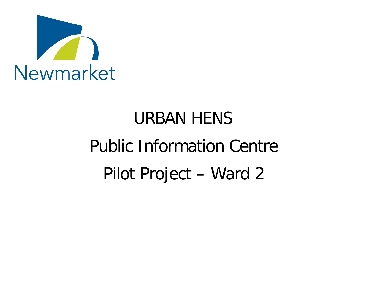

# URBAN HENS Public Information Centre Pilot Project – Ward 2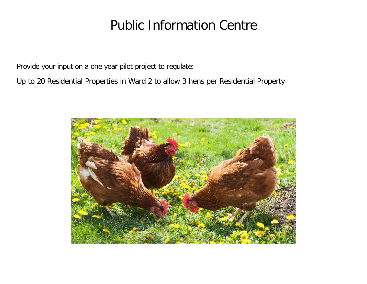# Public Information Centre

Provide your input on a one year pilot project to regulate:

Up to 20 Residential Properties in Ward 2 to allow 3 hens per Residential Property

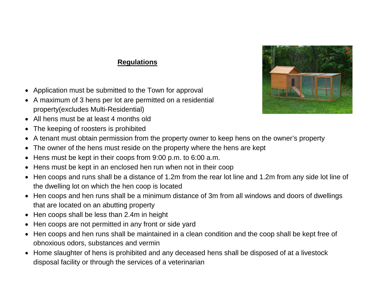#### **Regulations**

- Application must be submitted to the Town for approval
- A maximum of 3 hens per lot are permitted on a residential property(excludes Multi-Residential)
- All hens must be at least 4 months old
- The keeping of roosters is prohibited
- A tenant must obtain permission from the property owner to keep hens on the owner's property
- The owner of the hens must reside on the property where the hens are kept
- Hens must be kept in their coops from 9:00 p.m. to 6:00 a.m.
- Hens must be kept in an enclosed hen run when not in their coop
- Hen coops and runs shall be a distance of 1.2m from the rear lot line and 1.2m from any side lot line of the dwelling lot on which the hen coop is located
- Hen coops and hen runs shall be a minimum distance of 3m from all windows and doors of dwellings that are located on an abutting property
- Hen coops shall be less than 2.4m in height
- Hen coops are not permitted in any front or side yard
- Hen coops and hen runs shall be maintained in a clean condition and the coop shall be kept free of obnoxious odors, substances and vermin
- Home slaughter of hens is prohibited and any deceased hens shall be disposed of at a livestock disposal facility or through the services of a veterinarian

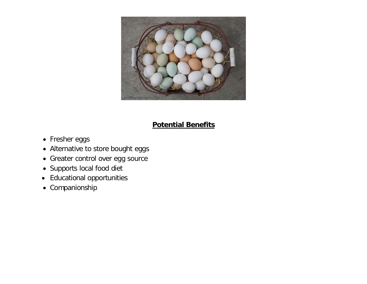

#### **Potential Benefits**

- Fresher eggs
- Alternative to store bought eggs
- Greater control over egg source
- Supports local food diet
- Educational opportunities
- Companionship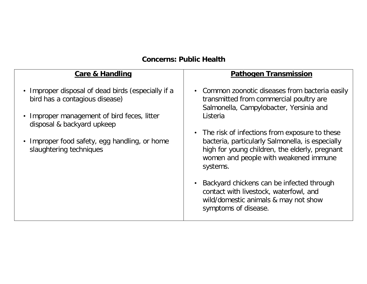## **Concerns: Public Health**

| <b>Care &amp; Handling</b>                                                                                                                                                                                                                    | <b>Pathogen Transmission</b>                                                                                                                                                                                                                                                                                                                                                                                                                                                                                                        |
|-----------------------------------------------------------------------------------------------------------------------------------------------------------------------------------------------------------------------------------------------|-------------------------------------------------------------------------------------------------------------------------------------------------------------------------------------------------------------------------------------------------------------------------------------------------------------------------------------------------------------------------------------------------------------------------------------------------------------------------------------------------------------------------------------|
| • Improper disposal of dead birds (especially if a<br>bird has a contagious disease)<br>• Improper management of bird feces, litter<br>disposal & backyard upkeep<br>• Improper food safety, egg handling, or home<br>slaughtering techniques | • Common zoonotic diseases from bacteria easily<br>transmitted from commercial poultry are<br>Salmonella, Campylobacter, Yersinia and<br>Listeria<br>• The risk of infections from exposure to these<br>bacteria, particularly Salmonella, is especially<br>high for young children, the elderly, pregnant<br>women and people with weakened immune<br>systems.<br>Backyard chickens can be infected through<br>$\bullet$<br>contact with livestock, waterfowl, and<br>wild/domestic animals & may not show<br>symptoms of disease. |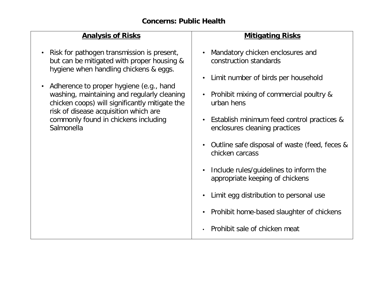#### **Analysis of Risks**

- Risk for pathogen transmission is present, but can be mitigated with proper housing & hygiene when handling chickens & eggs.
- Adherence to proper hygiene (e.g., hand washing, maintaining and regularly cleaning chicken coops) will significantly mitigate the risk of disease acquisition which are commonly found in chickens including Salmonella

#### **Mitigating Risks**

- Mandatory chicken enclosures and construction standards
- Limit number of birds per household
- Prohibit mixing of commercial poultry & urban hens
- Establish minimum feed control practices & enclosures cleaning practices
- Outline safe disposal of waste (feed, feces & chicken carcass
- Include rules/guidelines to inform the appropriate keeping of chickens
- Limit egg distribution to personal use
- Prohibit home-based slaughter of chickens
- Prohibit sale of chicken meat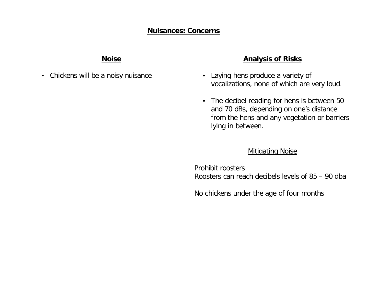#### **Nuisances: Concerns**

| <b>Noise</b>                                   | <b>Analysis of Risks</b>                                                                                                                                                                                                                        |
|------------------------------------------------|-------------------------------------------------------------------------------------------------------------------------------------------------------------------------------------------------------------------------------------------------|
| Chickens will be a noisy nuisance<br>$\bullet$ | Laying hens produce a variety of<br>vocalizations, none of which are very loud.<br>• The decibel reading for hens is between 50<br>and 70 dBs, depending on one's distance<br>from the hens and any vegetation or barriers<br>lying in between. |
|                                                | <b>Mitigating Noise</b><br>Prohibit roosters<br>Roosters can reach decibels levels of 85 – 90 dba<br>No chickens under the age of four months                                                                                                   |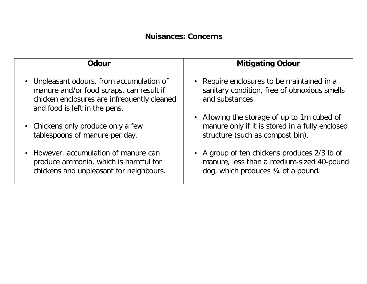| Odour                                                                                                                                                                 | <b>Mitigating Odour</b>                                                                                                                    |
|-----------------------------------------------------------------------------------------------------------------------------------------------------------------------|--------------------------------------------------------------------------------------------------------------------------------------------|
| • Unpleasant odours, from accumulation of<br>manure and/or food scraps, can result if<br>chicken enclosures are infrequently cleaned<br>and food is left in the pens. | • Require enclosures to be maintained in a<br>sanitary condition, free of obnoxious smells<br>and substances                               |
| • Chickens only produce only a few<br>tablespoons of manure per day.                                                                                                  | • Allowing the storage of up to 1m cubed of<br>manure only if it is stored in a fully enclosed<br>structure (such as compost bin).         |
| • However, accumulation of manure can<br>produce ammonia, which is harmful for<br>chickens and unpleasant for neighbours.                                             | • A group of ten chickens produces 2/3 lb of<br>manure, less than a medium-sized 40-pound<br>dog, which produces $\frac{3}{4}$ of a pound. |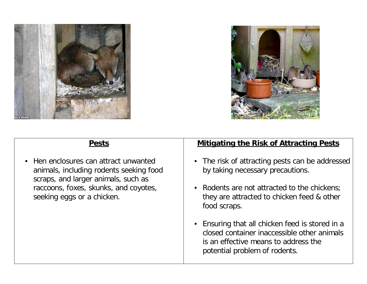



#### **Pests**

• Hen enclosures can attract unwanted animals, including rodents seeking food scraps, and larger animals, such as raccoons, foxes, skunks, and coyotes, seeking eggs or a chicken.

#### **Mitigating the Risk of Attracting Pests**

- The risk of attracting pests can be addressed by taking necessary precautions.
- Rodents are not attracted to the chickens; they are attracted to chicken feed & other food scraps.
- Ensuring that all chicken feed is stored in a closed container inaccessible other animals is an effective means to address the potential problem of rodents.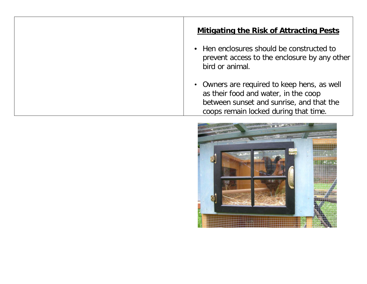#### **Mitigating the Risk of Attracting Pests**

- Hen enclosures should be constructed to prevent access to the enclosure by any other bird or animal.
- Owners are required to keep hens, as well as their food and water, in the coop between sunset and sunrise, and that the coops remain locked during that time.

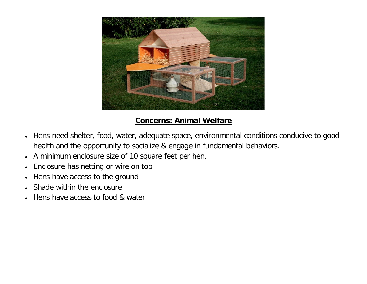

#### **Concerns: Animal Welfare**

- Hens need shelter, food, water, adequate space, environmental conditions conducive to good health and the opportunity to socialize & engage in fundamental behaviors.
- A minimum enclosure size of 10 square feet per hen.
- Enclosure has netting or wire on top
- Hens have access to the ground
- Shade within the enclosure
- Hens have access to food & water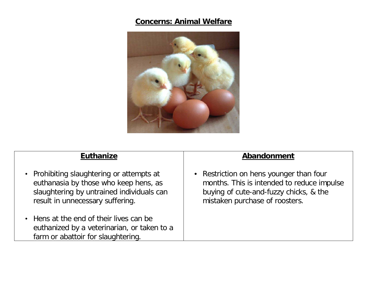# **Concerns: Animal Welfare**



| <b>Euthanize</b>                                                                                                                                                    | Abandonment                                                                                                                                                       |
|---------------------------------------------------------------------------------------------------------------------------------------------------------------------|-------------------------------------------------------------------------------------------------------------------------------------------------------------------|
| • Prohibiting slaughtering or attempts at<br>euthanasia by those who keep hens, as<br>slaughtering by untrained individuals can<br>result in unnecessary suffering. | • Restriction on hens younger than four<br>months. This is intended to reduce impulse<br>buying of cute-and-fuzzy chicks, & the<br>mistaken purchase of roosters. |
| • Hens at the end of their lives can be<br>euthanized by a veterinarian, or taken to a<br>farm or abattoir for slaughtering.                                        |                                                                                                                                                                   |